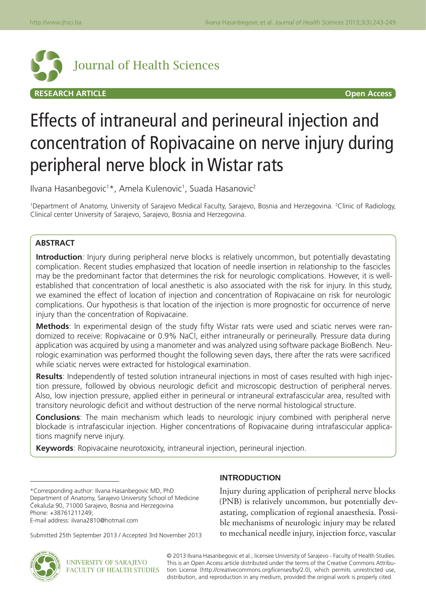

# Effects of intraneural and perineural injection and concentration of Ropivacaine on nerve injury during peripheral nerve block in Wistar rats

Ilvana Hasanbegovic<sup>1</sup>\*, Amela Kulenovic<sup>1</sup>, Suada Hasanovic<sup>2</sup>

1 Department of Anatomy, University of Sarajevo Medical Faculty, Sarajevo, Bosnia and Herzegovina. 2 Clinic of Radiology, Clinical center University of Sarajevo, Sarajevo, Bosnia and Herzegovina.

## **ABSTRACT**

**Introduction**: Injury during peripheral nerve blocks is relatively uncommon, but potentially devastating complication. Recent studies emphasized that location of needle insertion in relationship to the fascicles may be the predominant factor that determines the risk for neurologic complications. However, it is wellestablished that concentration of local anesthetic is also associated with the risk for injury. In this study, we examined the effect of location of injection and concentration of Ropivacaine on risk for neurologic complications. Our hypothesis is that location of the injection is more prognostic for occurrence of nerve injury than the concentration of Ropivacaine.

**Methods**: In experimental design of the study fifty Wistar rats were used and sciatic nerves were randomized to receive: Ropivacaine or 0.9% NaCl, either intraneurally or perineurally. Pressure data during application was acquired by using a manometer and was analyzed using software package BioBench. Neurologic examination was performed thought the following seven days, there after the rats were sacrificed while sciatic nerves were extracted for histological examination.

**Results**: Independently of tested solution intraneural injections in most of cases resulted with high injection pressure, followed by obvious neurologic deficit and microscopic destruction of peripheral nerves. Also, low injection pressure, applied either in perineural or intraneural extrafascicular area, resulted with transitory neurologic deficit and without destruction of the nerve normal histological structure.

**Conclusions**: The main mechanism which leads to neurologic injury combined with peripheral nerve blockade is intrafascicular injection. Higher concentrations of Ropivacaine during intrafascicular applications magnify nerve injury.

**Keywords**: Ropivacaine neurotoxicity, intraneural injection, perineural injection.

## **INTRODUCTION**

Injury during application of peripheral nerve blocks (PNB) is relatively uncommon, but potentially devastating, complication of regional anaesthesia. Possible mechanisms of neurologic injury may be related to mechanical needle injury, injection force, vascular



© 2013 Ilvana Hasanbegovic et al.; licensee University of Sarajevo - Faculty of Health Studies. This is an Open Access article distributed under the terms of the Creative Commons Attribution License (http://creativecommons.org/licenses/by/2.0), which permits unrestricted use, distribution, and reproduction in any medium, provided the original work is properly cited.

<sup>\*</sup>Corresponding author: Ilvana Hasanbegovic MD, PhD Department of Anatomy, Sarajevo University School of Medicine Èekaluša 90, 71000 Sarajevo, Bosnia and Herzegovina Phone: +38761211249;

E-mail address: ilvana2810@hotmail.com

Submitted 25th September 2013 / Accepted 3rd November 2013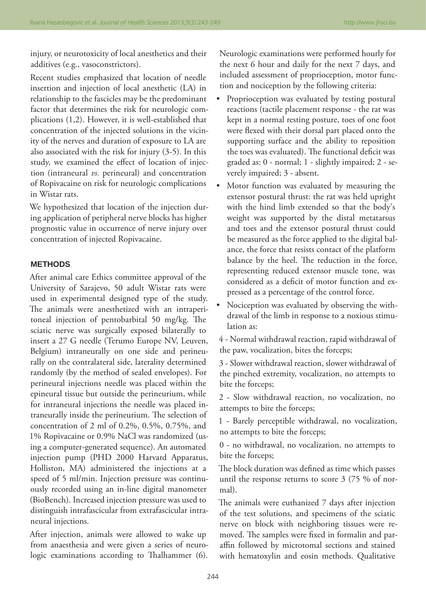injury, or neurotoxicity of local anesthetics and their additives (e.g., vasoconstrictors).

Recent studies emphasized that location of needle insertion and injection of local anesthetic (LA) in relationship to the fascicles may be the predominant factor that determines the risk for neurologic complications (1,2). However, it is well-established that concentration of the injected solutions in the vicinity of the nerves and duration of exposure to LA are also associated with the risk for injury (3-5). In this study, we examined the effect of location of injection (intraneural *vs.* perineural) and concentration of Ropivacaine on risk for neurologic complications in Wistar rats.

We hypothesized that location of the injection during application of peripheral nerve blocks has higher prognostic value in occurrence of nerve injury over concentration of injected Ropivacaine.

### **METHODS**

After animal care Ethics committee approval of the University of Sarajevo, 50 adult Wistar rats were used in experimental designed type of the study. The animals were anesthetized with an intraperitoneal injection of pentobarbital 50 mg/kg. The sciatic nerve was surgically exposed bilaterally to insert a 27 G needle (Terumo Europe NV, Leuven, Belgium) intraneurally on one side and perineurally on the contralateral side, laterality determined randomly (by the method of sealed envelopes). For perineural injections needle was placed within the epineural tissue but outside the perineurium, while for intraneural injections the needle was placed intraneurally inside the perineurium. The selection of concentration of 2 ml of 0.2%, 0.5%, 0.75%, and 1% Ropivacaine or 0.9% NaCl was randomized (using a computer-generated sequence). An automated injection pump (PHD 2000 Harvard Apparatus, Holliston, MA) administered the injections at a speed of 5 ml/min. Injection pressure was continuously recorded using an in-line digital manometer (BioBench). Increased injection pressure was used to distinguish intrafascicular from extrafascicular intraneural injections.

After injection, animals were allowed to wake up from anaesthesia and were given a series of neurologic examinations according to Thalhammer (6). Neurologic examinations were performed hourly for the next 6 hour and daily for the next 7 days, and included assessment of proprioception, motor function and nociception by the following criteria:

- Proprioception was evaluated by testing postural reactions (tactile placement response - the rat was kept in a normal resting posture, toes of one foot were flexed with their dorsal part placed onto the supporting surface and the ability to reposition the toes was evaluated). The functional deficit was graded as: 0 - normal; 1 - slightly impaired; 2 - severely impaired; 3 - absent.
- Motor function was evaluated by measuring the extensor postural thrust: the rat was held upright with the hind limb extended so that the body's weight was supported by the distal metatarsus and toes and the extensor postural thrust could be measured as the force applied to the digital balance, the force that resists contact of the platform balance by the heel. The reduction in the force, representing reduced extensor muscle tone, was considered as a deficit of motor function and expressed as a percentage of the control force.
- Nociception was evaluated by observing the withdrawal of the limb in response to a noxious stimulation as:

4 - Normal withdrawal reaction, rapid withdrawal of the paw, vocalization, bites the forceps;

3 - Slower withdrawal reaction, slower withdrawal of the pinched extremity, vocalization, no attempts to bite the forceps;

2 - Slow withdrawal reaction, no vocalization, no attempts to bite the forceps;

1 - Barely perceptible withdrawal, no vocalization, no attempts to bite the forceps;

0 - no withdrawal, no vocalization, no attempts to bite the forceps;

The block duration was defined as time which passes until the response returns to score 3 (75 % of normal).

The animals were euthanized 7 days after injection of the test solutions, and specimens of the sciatic nerve on block with neighboring tissues were removed. The samples were fixed in formalin and paraffin followed by microtomal sections and stained with hematoxylin and eosin methods. Qualitative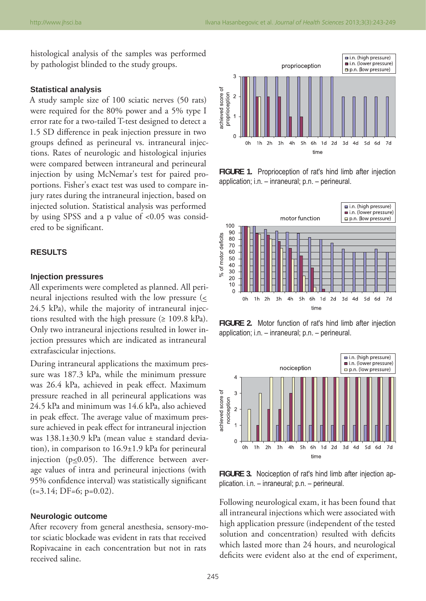histological analysis of the samples was performed by pathologist blinded to the study groups.

#### **Statistical analysis**

A study sample size of 100 sciatic nerves (50 rats) were required for the 80% power and a 5% type I error rate for a two-tailed T-test designed to detect a 1.5 SD difference in peak injection pressure in two groups defined as perineural vs. intraneural injections. Rates of neurologic and histological injuries were compared between intraneural and perineural injection by using McNemar's test for paired proportions. Fisher's exact test was used to compare injury rates during the intraneural injection, based on injected solution. Statistical analysis was performed by using SPSS and a p value of <0.05 was considered to be significant.

## **RESULTS**

#### **Injection pressures**

All experiments were completed as planned. All perineural injections resulted with the low pressure  $($ 24.5 kPa), while the majority of intraneural injections resulted with the high pressure ( $\geq 109.8$  kPa). Only two intraneural injections resulted in lower injection pressures which are indicated as intraneural extrafascicular injections.

During intraneural applications the maximum pressure was 187.3 kPa, while the minimum pressure was 26.4 kPa, achieved in peak effect. Maximum pressure reached in all perineural applications was 24.5 kPa and minimum was 14.6 kPa, also achieved in peak effect. The average value of maximum pressure achieved in peak effect for intraneural injection was 138.1±30.9 kPa (mean value ± standard deviation), in comparison to 16.9±1.9 kPa for perineural injection ( $p \le 0.05$ ). The difference between average values of intra and perineural injections (with 95% confidence interval) was statistically significant  $(t=3.14; DF=6; p=0.02).$ 

## **Neurologic outcome**

After recovery from general anesthesia, sensory-motor sciatic blockade was evident in rats that received Ropivacaine in each concentration but not in rats received saline.



**FIGURE 1.** Proprioception of rat's hind limb after injection application; i.n. – inraneural; p.n. – perineural.



**FIGURE 2.** Motor function of rat's hind limb after injection application; i.n. – inraneural; p.n. – perineural.



**FIGURE 3.** Nociception of rat's hind limb after injection application. i.n. – inraneural; p.n. – perineural.

Following neurological exam, it has been found that all intraneural injections which were associated with high application pressure (independent of the tested solution and concentration) resulted with deficits which lasted more than 24 hours, and neurological deficits were evident also at the end of experiment,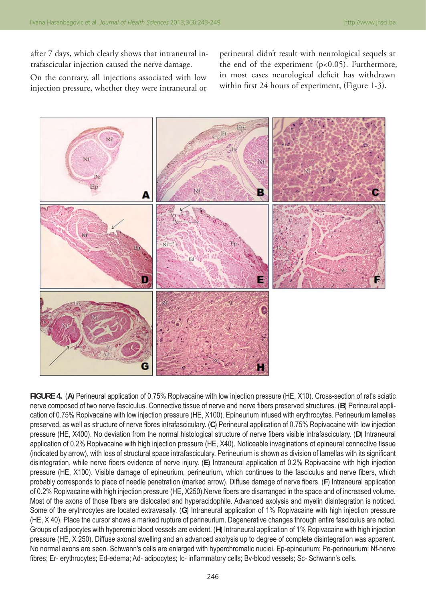after 7 days, which clearly shows that intraneural intrafascicular injection caused the nerve damage.

On the contrary, all injections associated with low injection pressure, whether they were intraneural or

perineural didn't result with neurological sequels at the end of the experiment  $(p<0.05)$ . Furthermore, in most cases neurological deficit has withdrawn within first 24 hours of experiment, (Figure 1-3).



**FIGURE 4.** (**A**) Perineural application of 0.75% Ropivacaine with low injection pressure (HE, X10). Cross-section of rat's sciatic nerve composed of two nerve fasciculus. Connective tissue of nerve and nerve fibers preserved structures. (B) Perineural application of 0.75% Ropivacaine with low injection pressure (HE, X100). Epineurium infused with erythrocytes. Perineurium lamellas preserved, as well as structure of nerve fibres intrafasciculary. (C) Perineural application of 0.75% Ropivacaine with low injection pressure (HE, X400). No deviation from the normal histological structure of nerve fibers visible intrafasciculary. (D) Intraneural application of 0.2% Ropivacaine with high injection pressure (HE, X40). Noticeable invaginations of epineural connective tissue (indicated by arrow), with loss of structural space intrafasciculary. Perineurium is shown as division of lamellas with its significant disintegration, while nerve fibers evidence of nerve injury. (E) Intraneural application of 0.2% Ropivacaine with high injection pressure (HE, X100). Visible damage of epineurium, perineurium, which continues to the fasciculus and nerve fibers, which probably corresponds to place of needle penetration (marked arrow). Diffuse damage of nerve fibers. (F) Intraneural application of 0.2% Ropivacaine with high injection pressure (HE, X250).Nerve fibers are disarranged in the space and of increased volume. Most of the axons of those fibers are dislocated and hyperacidophile. Advanced axolysis and myelin disintegration is noticed. Some of the erythrocytes are located extravasally. (**G**) Intraneural application of 1% Ropivacaine with high injection pressure (HE, X 40). Place the cursor shows a marked rupture of perineurium. Degenerative changes through entire fasciculus are noted. Groups of adipocytes with hyperemic blood vessels are evident. (**H**) Intraneural application of 1% Ropivacaine with high injection pressure (HE, X 250). Diffuse axonal swelling and an advanced axolysis up to degree of complete disintegration was apparent. No normal axons are seen. Schwann's cells are enlarged with hyperchromatic nuclei. Ep-epineurium; Pe-perineurium; Nf-nerve fibres; Er- erythrocytes; Ed-edema; Ad- adipocytes; Ic- inflammatory cells; Bv-blood vessels; Sc- Schwann's cells.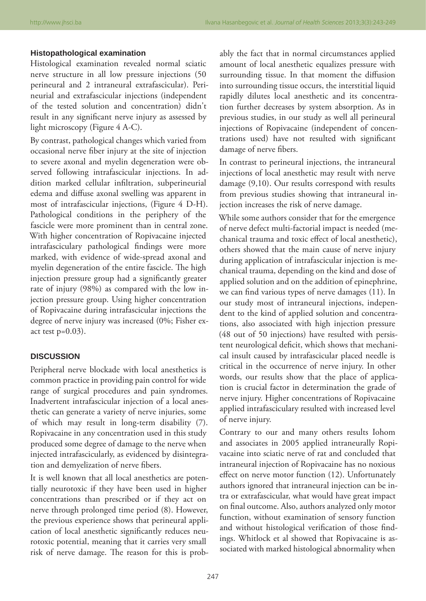## **Histopathological examination**

Histological examination revealed normal sciatic nerve structure in all low pressure injections (50 perineural and 2 intraneural extrafascicular). Perineurial and extrafascicular injections (independent of the tested solution and concentration) didn't result in any significant nerve injury as assessed by light microscopy (Figure 4 A-C).

By contrast, pathological changes which varied from occasional nerve fiber injury at the site of injection to severe axonal and myelin degeneration were observed following intrafascicular injections. In addition marked cellular infiltration, subperineurial edema and diffuse axonal swelling was apparent in most of intrafascicular injections, (Figure 4 D-H). Pathological conditions in the periphery of the fascicle were more prominent than in central zone. With higher concentration of Ropivacaine injected intrafasciculary pathological findings were more marked, with evidence of wide-spread axonal and myelin degeneration of the entire fascicle. The high injection pressure group had a significantly greater rate of injury (98%) as compared with the low injection pressure group. Using higher concentration of Ropivacaine during intrafascicular injections the degree of nerve injury was increased (0%; Fisher exact test  $p=0.03$ ).

### **DISCUSSION**

Peripheral nerve blockade with local anesthetics is common practice in providing pain control for wide range of surgical procedures and pain syndromes. Inadvertent intrafascicular injection of a local anesthetic can generate a variety of nerve injuries, some of which may result in long-term disability (7). Ropivacaine in any concentration used in this study produced some degree of damage to the nerve when injected intrafascicularly, as evidenced by disintegration and demyelization of nerve fibers.

It is well known that all local anesthetics are potentially neurotoxic if they have been used in higher concentrations than prescribed or if they act on nerve through prolonged time period (8). However, the previous experience shows that perineural application of local anesthetic significantly reduces neurotoxic potential, meaning that it carries very small risk of nerve damage. The reason for this is probably the fact that in normal circumstances applied amount of local anesthetic equalizes pressure with surrounding tissue. In that moment the diffusion into surrounding tissue occurs, the interstitial liquid rapidly dilutes local anesthetic and its concentration further decreases by system absorption. As in previous studies, in our study as well all perineural injections of Ropivacaine (independent of concentrations used) have not resulted with significant damage of nerve fibers.

In contrast to perineural injections, the intraneural injections of local anesthetic may result with nerve damage (9,10). Our results correspond with results from previous studies showing that intraneural injection increases the risk of nerve damage.

While some authors consider that for the emergence of nerve defect multi-factorial impact is needed (mechanical trauma and toxic effect of local anesthetic), others showed that the main cause of nerve injury during application of intrafascicular injection is mechanical trauma, depending on the kind and dose of applied solution and on the addition of epinephrine, we can find various types of nerve damages (11). In our study most of intraneural injections, independent to the kind of applied solution and concentrations, also associated with high injection pressure (48 out of 50 injections) have resulted with persistent neurological deficit, which shows that mechanical insult caused by intrafascicular placed needle is critical in the occurrence of nerve injury. In other words, our results show that the place of application is crucial factor in determination the grade of nerve injury. Higher concentrations of Ropivacaine applied intrafasciculary resulted with increased level of nerve injury.

Contrary to our and many others results Iohom and associates in 2005 applied intraneurally Ropivacaine into sciatic nerve of rat and concluded that intraneural injection of Ropivacaine has no noxious effect on nerve motor function (12). Unfortunately authors ignored that intraneural injection can be intra or extrafascicular, what would have great impact on final outcome. Also, authors analyzed only motor function, without examination of sensory function and without histological verification of those findings. Whitlock et al showed that Ropivacaine is associated with marked histological abnormality when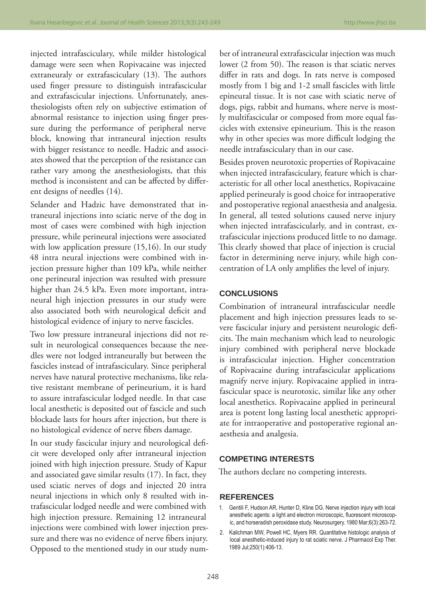injected intrafasciculary, while milder histological damage were seen when Ropivacaine was injected extraneuraly or extrafasciculary (13). The authors used finger pressure to distinguish intrafascicular and extrafascicular injections. Unfortunately, anesthesiologists often rely on subjective estimation of abnormal resistance to injection using finger pressure during the performance of peripheral nerve block, knowing that intraneural injection results with bigger resistance to needle. Hadzic and associates showed that the perception of the resistance can rather vary among the anesthesiologists, that this method is inconsistent and can be affected by different designs of needles (14).

Selander and Hadzic have demonstrated that intraneural injections into sciatic nerve of the dog in most of cases were combined with high injection pressure, while perineural injections were associated with low application pressure (15,16). In our study 48 intra neural injections were combined with injection pressure higher than 109 kPa, while neither one perineural injection was resulted with pressure higher than 24.5 kPa. Even more important, intraneural high injection pressures in our study were also associated both with neurological deficit and histological evidence of injury to nerve fascicles.

Two low pressure intraneural injections did not result in neurological consequences because the needles were not lodged intraneurally but between the fascicles instead of intrafasciculary. Since peripheral nerves have natural protective mechanisms, like relative resistant membrane of perineurium, it is hard to assure intrafascicular lodged needle. In that case local anesthetic is deposited out of fascicle and such blockade lasts for hours after injection, but there is no histological evidence of nerve fibers damage.

In our study fascicular injury and neurological deficit were developed only after intraneural injection joined with high injection pressure. Study of Kapur and associated gave similar results (17). In fact, they used sciatic nerves of dogs and injected 20 intra neural injections in which only 8 resulted with intrafascicular lodged needle and were combined with high injection pressure. Remaining 12 intraneural injections were combined with lower injection pressure and there was no evidence of nerve fibers injury. Opposed to the mentioned study in our study number of intraneural extrafascicular injection was much lower (2 from 50). The reason is that sciatic nerves differ in rats and dogs. In rats nerve is composed mostly from 1 big and 1-2 small fascicles with little epineural tissue. It is not case with sciatic nerve of dogs, pigs, rabbit and humans, where nerve is mostly multifascicular or composed from more equal fascicles with extensive epineurium. This is the reason why in other species was more difficult lodging the needle intrafasciculary than in our case.

Besides proven neurotoxic properties of Ropivacaine when injected intrafasciculary, feature which is characteristic for all other local anesthetics, Ropivacaine applied perineuraly is good choice for intraoperative and postoperative regional anaesthesia and analgesia. In general, all tested solutions caused nerve injury when injected intrafascicularly, and in contrast, extrafascicular injections produced little to no damage. This clearly showed that place of injection is crucial factor in determining nerve injury, while high concentration of LA only amplifies the level of injury.

#### **CONCLUSIONS**

Combination of intraneural intrafascicular needle placement and high injection pressures leads to severe fascicular injury and persistent neurologic deficits. The main mechanism which lead to neurologic injury combined with peripheral nerve blockade is intrafascicular injection. Higher concentration of Ropivacaine during intrafascicular applications magnify nerve injury. Ropivacaine applied in intrafascicular space is neurotoxic, similar like any other local anesthetics. Ropivacaine applied in perineural area is potent long lasting local anesthetic appropriate for intraoperative and postoperative regional anaesthesia and analgesia.

## **COMPETING INTERESTS**

The authors declare no competing interests.

#### **REFERENCES**

- 1. Gentili F, Hudson AR, Hunter D, Kline DG. Nerve injection injury with local anesthetic agents: a light and electron microscopic, fluorescent microscopic, and horseradish peroxidase study. Neurosurgery. 1980 Mar;6(3):263-72.
- 2. Kalichman MW, Powell HC, Myers RR. Quantitative histologic analysis of local anesthetic-induced injury to rat sciatic nerve. J Pharmacol Exp Ther. 1989 Jul;250(1):406-13.